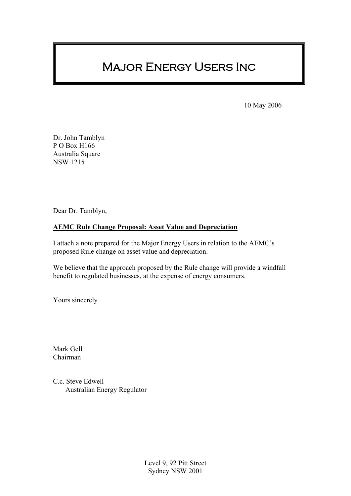# Major Energy Users Inc

10 May 2006

Dr. John Tamblyn P O Box H166 Australia Square NSW 1215

Dear Dr. Tamblyn,

#### **AEMC Rule Change Proposal: Asset Value and Depreciation**

I attach a note prepared for the Major Energy Users in relation to the AEMC's proposed Rule change on asset value and depreciation.

We believe that the approach proposed by the Rule change will provide a windfall benefit to regulated businesses, at the expense of energy consumers.

Yours sincerely

Mark Gell Chairman

C.c. Steve Edwell Australian Energy Regulator

> Level 9, 92 Pitt Street Sydney NSW 2001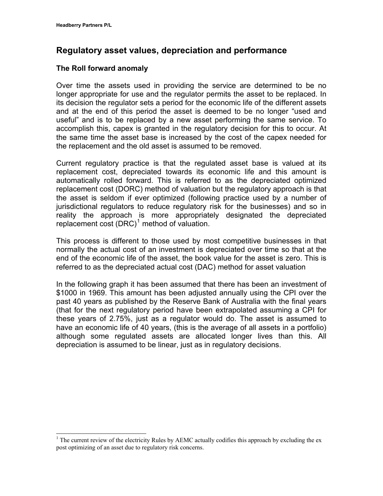$\overline{a}$ 

### **Regulatory asset values, depreciation and performance**

#### **The Roll forward anomaly**

Over time the assets used in providing the service are determined to be no longer appropriate for use and the regulator permits the asset to be replaced. In its decision the regulator sets a period for the economic life of the different assets and at the end of this period the asset is deemed to be no longer "used and useful" and is to be replaced by a new asset performing the same service. To accomplish this, capex is granted in the regulatory decision for this to occur. At the same time the asset base is increased by the cost of the capex needed for the replacement and the old asset is assumed to be removed.

Current regulatory practice is that the regulated asset base is valued at its replacement cost, depreciated towards its economic life and this amount is automatically rolled forward. This is referred to as the depreciated optimized replacement cost (DORC) method of valuation but the regulatory approach is that the asset is seldom if ever optimized (following practice used by a number of jurisdictional regulators to reduce regulatory risk for the businesses) and so in reality the approach is more appropriately designated the depreciated replacement cost  $(DRC)^1$  $(DRC)^1$  method of valuation.

This process is different to those used by most competitive businesses in that normally the actual cost of an investment is depreciated over time so that at the end of the economic life of the asset, the book value for the asset is zero. This is referred to as the depreciated actual cost (DAC) method for asset valuation

In the following graph it has been assumed that there has been an investment of \$1000 in 1969. This amount has been adjusted annually using the CPI over the past 40 years as published by the Reserve Bank of Australia with the final years (that for the next regulatory period have been extrapolated assuming a CPI for these years of 2.75%, just as a regulator would do. The asset is assumed to have an economic life of 40 years, (this is the average of all assets in a portfolio) although some regulated assets are allocated longer lives than this. All depreciation is assumed to be linear, just as in regulatory decisions.

<span id="page-1-0"></span> $1$  The current review of the electricity Rules by AEMC actually codifies this approach by excluding the ex post optimizing of an asset due to regulatory risk concerns.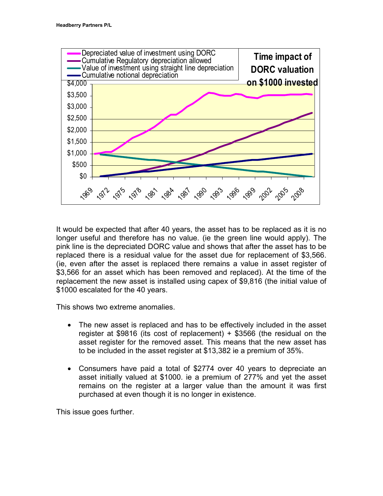

It would be expected that after 40 years, the asset has to be replaced as it is no longer useful and therefore has no value. (ie the green line would apply). The pink line is the depreciated DORC value and shows that after the asset has to be replaced there is a residual value for the asset due for replacement of \$3,566. (ie, even after the asset is replaced there remains a value in asset register of \$3,566 for an asset which has been removed and replaced). At the time of the replacement the new asset is installed using capex of \$9,816 (the initial value of \$1000 escalated for the 40 years.

This shows two extreme anomalies.

- The new asset is replaced and has to be effectively included in the asset register at \$9816 (its cost of replacement) + \$3566 (the residual on the asset register for the removed asset. This means that the new asset has to be included in the asset register at \$13,382 ie a premium of 35%.
- Consumers have paid a total of \$2774 over 40 years to depreciate an asset initially valued at \$1000. ie a premium of 277% and yet the asset remains on the register at a larger value than the amount it was first purchased at even though it is no longer in existence.

This issue goes further.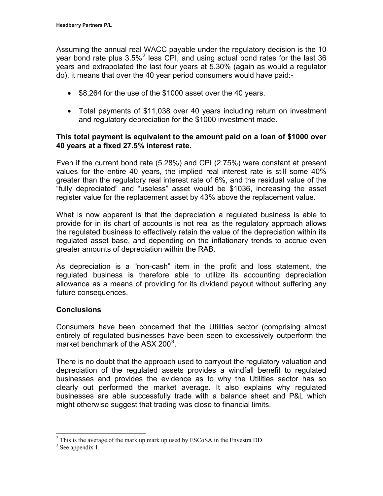Assuming the annual real WACC payable under the regulatory decision is the 10 year bond rate plus  $3.5\%$ <sup>[2](#page-3-0)</sup> less CPI, and using actual bond rates for the last 36 years and extrapolated the last four years at 5.30% (again as would a regulator do), it means that over the 40 year period consumers would have paid:-

- \$8,264 for the use of the \$1000 asset over the 40 years.
- Total payments of \$11,038 over 40 years including return on investment and regulatory depreciation for the \$1000 investment made.

#### **This total payment is equivalent to the amount paid on a loan of \$1000 over 40 years at a fixed 27.5% interest rate.**

Even if the current bond rate (5.28%) and CPI (2.75%) were constant at present values for the entire 40 years, the implied real interest rate is still some 40% greater than the regulatory real interest rate of 6%, and the residual value of the "fully depreciated" and "useless" asset would be \$1036, increasing the asset register value for the replacement asset by 43% above the replacement value.

What is now apparent is that the depreciation a regulated business is able to provide for in its chart of accounts is not real as the regulatory approach allows the regulated business to effectively retain the value of the depreciation within its regulated asset base, and depending on the inflationary trends to accrue even greater amounts of depreciation within the RAB.

As depreciation is a "non-cash" item in the profit and loss statement, the regulated business is therefore able to utilize its accounting depreciation allowance as a means of providing for its dividend payout without suffering any future consequences.

#### **Conclusions**

Consumers have been concerned that the Utilities sector (comprising almost entirely of regulated businesses have been seen to excessively outperform the market benchmark of the ASX 200 $^3$  $^3$ .

There is no doubt that the approach used to carryout the regulatory valuation and depreciation of the regulated assets provides a windfall benefit to regulated businesses and provides the evidence as to why the Utilities sector has so clearly out performed the market average. It also explains why regulated businesses are able successfully trade with a balance sheet and P&L which might otherwise suggest that trading was close to financial limits.

 $\frac{2}{3}$  This is the average of the mark up mark up used by ESCoSA in the Envestra DD  $\frac{3}{3}$  See apparently 1

<span id="page-3-1"></span><span id="page-3-0"></span> $3$  See appendix 1.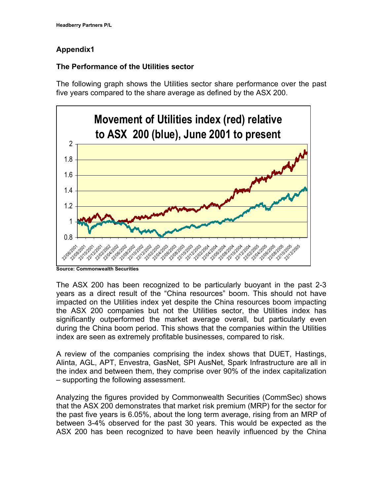#### **Appendix1**

#### **The Performance of the Utilities sector**

The following graph shows the Utilities sector share performance over the past five years compared to the share average as defined by the ASX 200.



**Source: Commonwealth Securities** 

The ASX 200 has been recognized to be particularly buoyant in the past 2-3 years as a direct result of the "China resources" boom. This should not have impacted on the Utilities index yet despite the China resources boom impacting the ASX 200 companies but not the Utilities sector, the Utilities index has significantly outperformed the market average overall, but particularly even during the China boom period. This shows that the companies within the Utilities index are seen as extremely profitable businesses, compared to risk.

A review of the companies comprising the index shows that DUET, Hastings, Alinta, AGL, APT, Envestra, GasNet, SPI AusNet, Spark Infrastructure are all in the index and between them, they comprise over 90% of the index capitalization – supporting the following assessment.

Analyzing the figures provided by Commonwealth Securities (CommSec) shows that the ASX 200 demonstrates that market risk premium (MRP) for the sector for the past five years is 6.05%, about the long term average, rising from an MRP of between 3-4% observed for the past 30 years. This would be expected as the ASX 200 has been recognized to have been heavily influenced by the China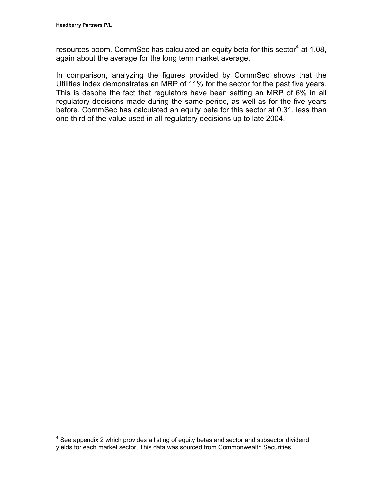resources boom. CommSec has calculated an equity beta for this sector<sup>[4](#page-5-0)</sup> at 1.08, again about the average for the long term market average.

In comparison, analyzing the figures provided by CommSec shows that the Utilities index demonstrates an MRP of 11% for the sector for the past five years. This is despite the fact that regulators have been setting an MRP of 6% in all regulatory decisions made during the same period, as well as for the five years before. CommSec has calculated an equity beta for this sector at 0.31, less than one third of the value used in all regulatory decisions up to late 2004.

<span id="page-5-0"></span> 4 See appendix 2 which provides a listing of equity betas and sector and subsector dividend yields for each market sector. This data was sourced from Commonwealth Securities.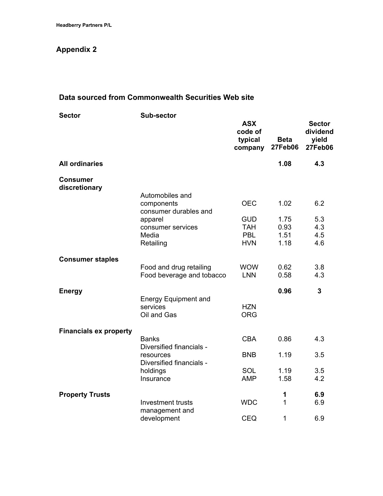## **Appendix 2**

#### **Data sourced from Commonwealth Securities Web site**

| <b>Sector</b>                    | <b>Sub-sector</b>                                      |                                             |                               |                                                      |  |
|----------------------------------|--------------------------------------------------------|---------------------------------------------|-------------------------------|------------------------------------------------------|--|
|                                  |                                                        | <b>ASX</b><br>code of<br>typical<br>company | <b>Beta</b><br><b>27Feb06</b> | <b>Sector</b><br>dividend<br>yield<br><b>27Feb06</b> |  |
| <b>All ordinaries</b>            |                                                        |                                             | 1.08                          | 4.3                                                  |  |
| <b>Consumer</b><br>discretionary |                                                        |                                             |                               |                                                      |  |
|                                  | Automobiles and<br>components                          | <b>OEC</b>                                  | 1.02                          | 6.2                                                  |  |
|                                  | consumer durables and<br>apparel<br>consumer services  | <b>GUD</b><br><b>TAH</b>                    | 1.75<br>0.93                  | 5.3<br>4.3                                           |  |
|                                  | Media<br>Retailing                                     | <b>PBL</b><br><b>HVN</b>                    | 1.51<br>1.18                  | 4.5<br>4.6                                           |  |
| <b>Consumer staples</b>          |                                                        |                                             |                               |                                                      |  |
|                                  | Food and drug retailing<br>Food beverage and tobacco   | <b>WOW</b><br><b>LNN</b>                    | 0.62<br>0.58                  | 3.8<br>4.3                                           |  |
| <b>Energy</b>                    |                                                        |                                             | 0.96                          | $\overline{3}$                                       |  |
|                                  | <b>Energy Equipment and</b><br>services<br>Oil and Gas | <b>HZN</b><br><b>ORG</b>                    |                               |                                                      |  |
| <b>Financials ex property</b>    |                                                        |                                             |                               |                                                      |  |
|                                  | <b>Banks</b><br>Diversified financials -               | <b>CBA</b>                                  | 0.86                          | 4.3                                                  |  |
|                                  | resources<br>Diversified financials -                  | <b>BNB</b>                                  | 1.19                          | 3.5                                                  |  |
|                                  | holdings<br>Insurance                                  | SOL<br><b>AMP</b>                           | 1.19<br>1.58                  | 3.5<br>4.2                                           |  |
| <b>Property Trusts</b>           |                                                        |                                             | 1                             | 6.9                                                  |  |
|                                  | Investment trusts<br>management and                    | <b>WDC</b>                                  | 1                             | 6.9                                                  |  |
|                                  | development                                            | <b>CEQ</b>                                  | 1                             | 6.9                                                  |  |